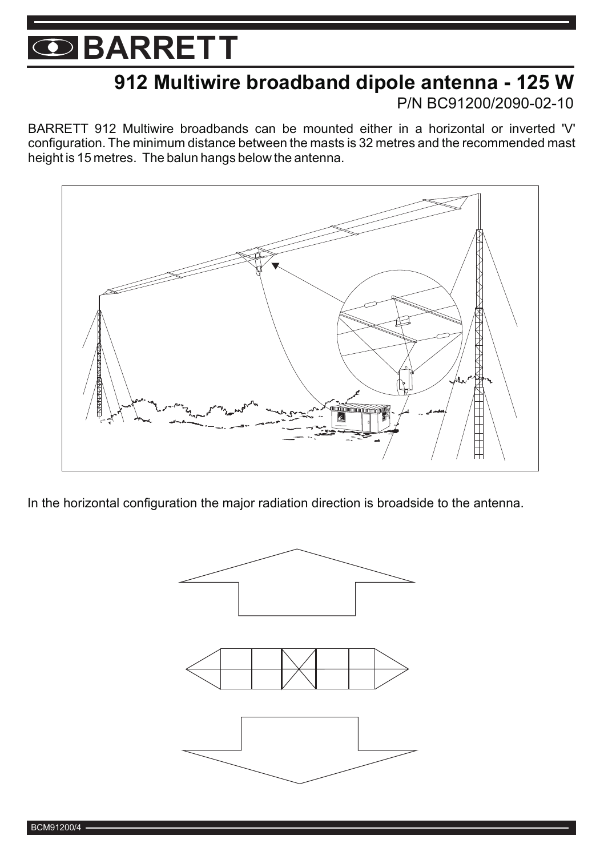### **912 Multiwire broadband dipole antenna - 125 W**

P/N BC91200/2090-02-10

BARRETT 912 Multiwire broadbands can be mounted either in a horizontal or inverted 'V' configuration. The minimum distance between the masts is 32 metres and the recommended mast height is 15 metres. The balun hangs below the antenna.



In the horizontal configuration the major radiation direction is broadside to the antenna.



BCM91200/4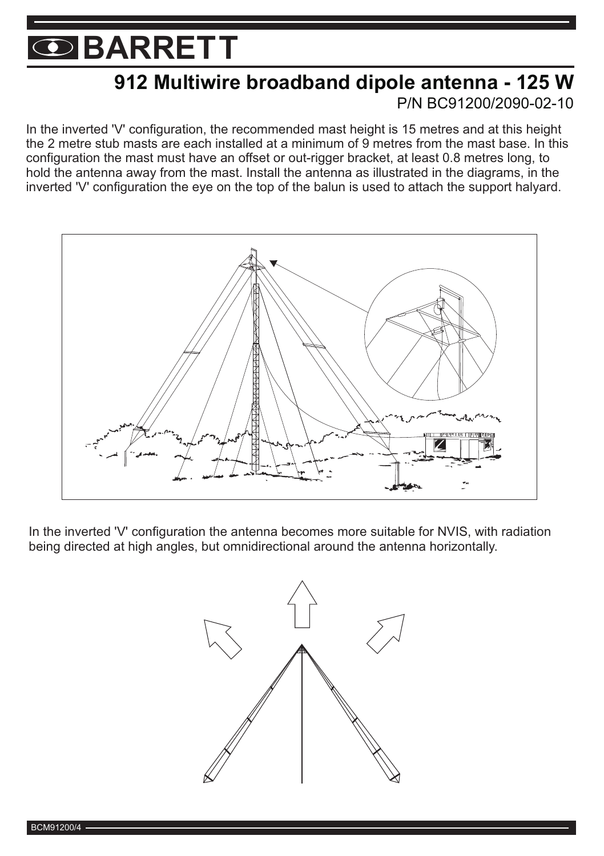### **912 Multiwire broadband dipole antenna - 125 W** P/N BC91200/2090-02-10

In the inverted 'V' configuration, the recommended mast height is 15 metres and at this height the 2 metre stub masts are each installed at a minimum of 9 metres from the mast base. In this configuration the mast must have an offset or out-rigger bracket, at least 0.8 metres long, to hold the antenna away from the mast. Install the antenna as illustrated in the diagrams, in the inverted 'V' configuration the eye on the top of the balun is used to attach the support halyard.



In the inverted 'V' configuration the antenna becomes more suitable for NVIS, with radiation being directed at high angles, but omnidirectional around the antenna horizontally.

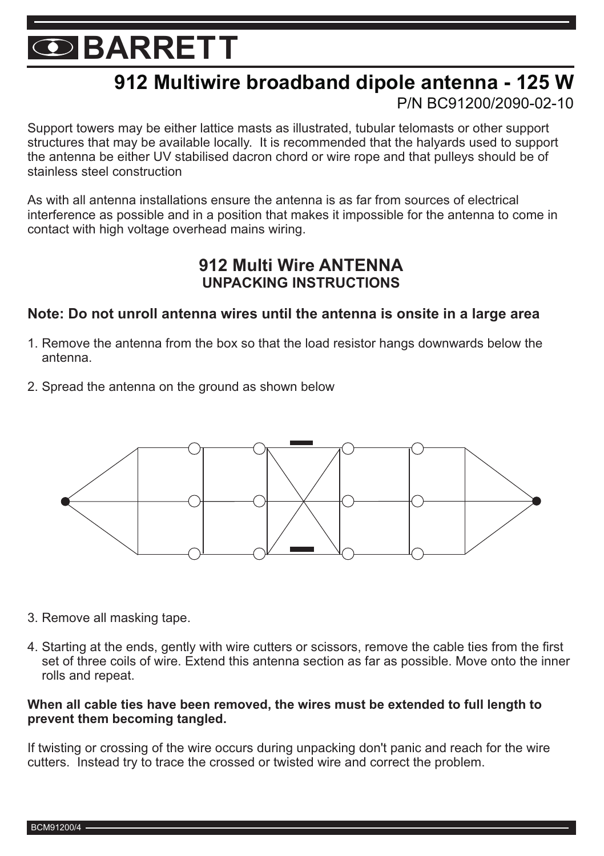## **912 Multiwire broadband dipole antenna - 125 W**

#### P/N BC91200/2090-02-10

Support towers may be either lattice masts as illustrated, tubular telomasts or other support structures that may be available locally. It is recommended that the halyards used to support the antenna be either UV stabilised dacron chord or wire rope and that pulleys should be of stainless steel construction

As with all antenna installations ensure the antenna is as far from sources of electrical interference as possible and in a position that makes it impossible for the antenna to come in contact with high voltage overhead mains wiring.

#### **912 Multi Wire ANTENNA UNPACKING INSTRUCTIONS**

#### **Note: Do not unroll antenna wires until the antenna is onsite in a large area**

- 1. Remove the antenna from the box so that the load resistor hangs downwards below the antenna.
- 2. Spread the antenna on the ground as shown below



- 3. Remove all masking tape.
- 4. Starting at the ends, gently with wire cutters or scissors, remove the cable ties from the first set of three coils of wire. Extend this antenna section as far as possible. Move onto the inner rolls and repeat.

#### **When all cable ties have been removed, the wires must be extended to full length to prevent them becoming tangled.**

If twisting or crossing of the wire occurs during unpacking don't panic and reach for the wire cutters. Instead try to trace the crossed or twisted wire and correct the problem.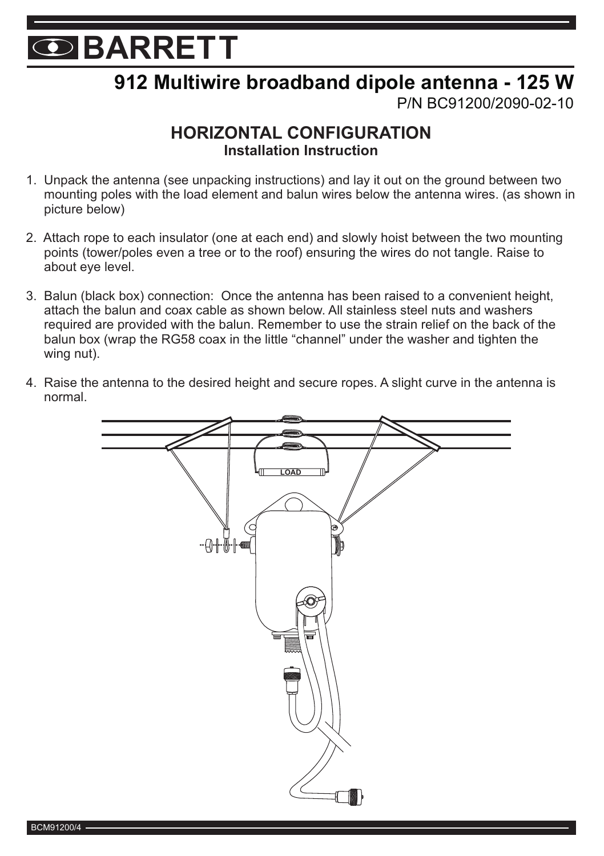## **912 Multiwire broadband dipole antenna - 125 W**

P/N BC91200/2090-02-10

#### **HORIZONTAL CONFIGURATION Installation Instruction**

- 1. Unpack the antenna (see unpacking instructions) and lay it out on the ground between two mounting poles with the load element and balun wires below the antenna wires. (as shown in picture below)
- 2. Attach rope to each insulator (one at each end) and slowly hoist between the two mounting points (tower/poles even a tree or to the roof) ensuring the wires do not tangle. Raise to about eye level.
- 3. Balun (black box) connection: Once the antenna has been raised to a convenient height, attach the balun and coax cable as shown below. All stainless steel nuts and washers required are provided with the balun. Remember to use the strain relief on the back of the balun box (wrap the RG58 coax in the little "channel" under the washer and tighten the wing nut).
- 4. Raise the antenna to the desired height and secure ropes. A slight curve in the antenna is normal.